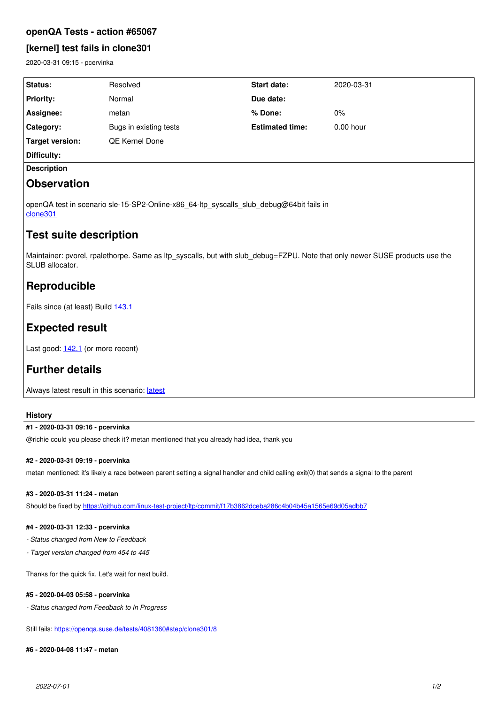### **openQA Tests - action #65067**

## **[kernel] test fails in clone301**

2020-03-31 09:15 - pcervinka

| Status:                | Resolved               | <b>Start date:</b>     | 2020-03-31  |
|------------------------|------------------------|------------------------|-------------|
| <b>Priority:</b>       | Normal                 | <b>Due date:</b>       |             |
| Assignee:              | metan                  | ∣% Done:               | $0\%$       |
| Category:              | Bugs in existing tests | <b>Estimated time:</b> | $0.00$ hour |
| <b>Target version:</b> | <b>QE Kernel Done</b>  |                        |             |
| Difficulty:            |                        |                        |             |
| <b>Description</b>     |                        |                        |             |
|                        |                        |                        |             |

# **Observation**

openQA test in scenario sle-15-SP2-Online-x86\_64-ltp\_syscalls\_slub\_debug@64bit fails in [clone301](https://openqa.suse.de/tests/4065322/modules/clone301/steps/8)

## **Test suite description**

Maintainer: pvorel, rpalethorpe. Same as ltp\_syscalls, but with slub\_debug=FZPU. Note that only newer SUSE products use the SLUB allocator.

# **Reproducible**

Fails since (at least) Build [143.1](https://openqa.suse.de/tests/3915845)

# **Expected result**

Last good: [142.1](https://openqa.suse.de/tests/3909646) (or more recent)

# **Further details**

Always [latest](https://openqa.suse.de/tests/latest?arch=x86_64&distri=sle&flavor=Online&machine=64bit&test=ltp_syscalls_slub_debug&version=15-SP2) result in this scenario: latest

### **History**

#### **#1 - 2020-03-31 09:16 - pcervinka**

@richie could you please check it? metan mentioned that you already had idea, thank you

### **#2 - 2020-03-31 09:19 - pcervinka**

metan mentioned: it's likely a race between parent setting a signal handler and child calling exit(0) that sends a signal to the parent

#### **#3 - 2020-03-31 11:24 - metan**

Should be fixed by<https://github.com/linux-test-project/ltp/commit/f17b3862dceba286c4b04b45a1565e69d05adbb7>

### **#4 - 2020-03-31 12:33 - pcervinka**

- *Status changed from New to Feedback*
- *Target version changed from 454 to 445*

Thanks for the quick fix. Let's wait for next build.

### **#5 - 2020-04-03 05:58 - pcervinka**

*- Status changed from Feedback to In Progress*

Still fails: <https://openqa.suse.de/tests/4081360#step/clone301/8>

### **#6 - 2020-04-08 11:47 - metan**